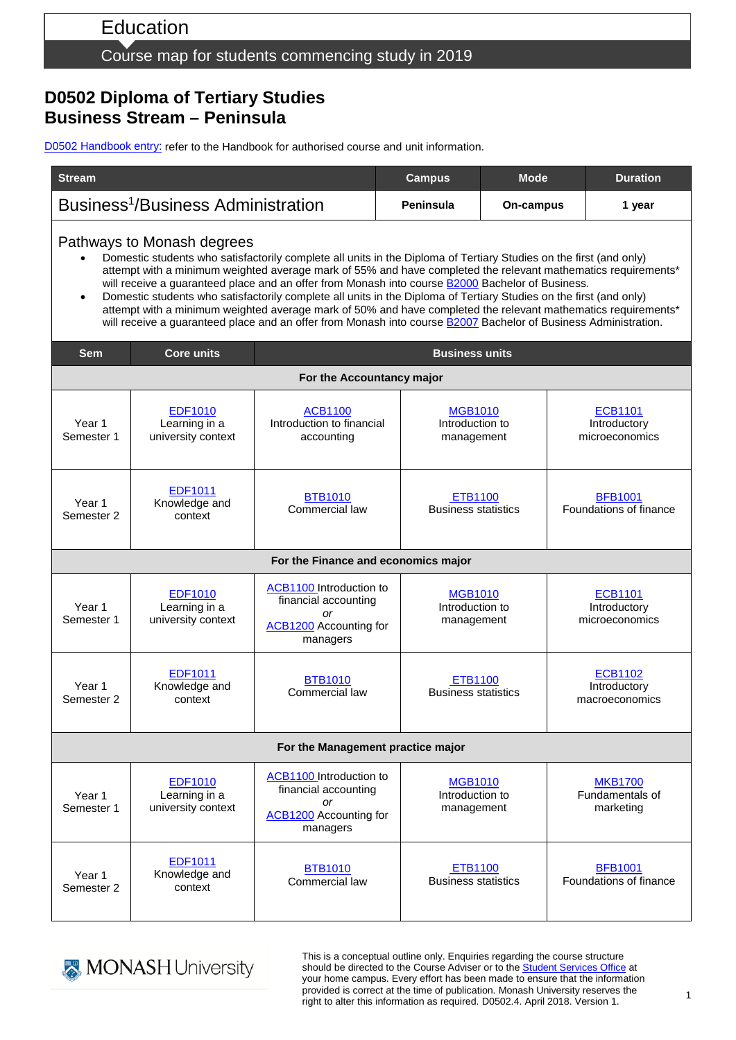# Education

#### Course map for students commencing study in 2019

### **D0502 Diploma of Tertiary Studies Business Stream – Peninsula**

D0502 [Handbook entry:](http://www.monash.edu.au/pubs/2019handbooks/courses/D0502.html) refer to the Handbook for authorised course and unit information.

| <b>Stream</b>                                                                                                                                                                                                                                                                                                                                                                                                                                                                                                                                                                                                                                                                                                                                              |                                                       |                                                                                                    | <b>Campus</b>                                   | <b>Mode</b> | <b>Duration</b>                                  |  |  |  |
|------------------------------------------------------------------------------------------------------------------------------------------------------------------------------------------------------------------------------------------------------------------------------------------------------------------------------------------------------------------------------------------------------------------------------------------------------------------------------------------------------------------------------------------------------------------------------------------------------------------------------------------------------------------------------------------------------------------------------------------------------------|-------------------------------------------------------|----------------------------------------------------------------------------------------------------|-------------------------------------------------|-------------|--------------------------------------------------|--|--|--|
| Business <sup>1</sup> /Business Administration                                                                                                                                                                                                                                                                                                                                                                                                                                                                                                                                                                                                                                                                                                             |                                                       |                                                                                                    | Peninsula                                       | On-campus   | 1 year                                           |  |  |  |
| Pathways to Monash degrees<br>Domestic students who satisfactorily complete all units in the Diploma of Tertiary Studies on the first (and only)<br>attempt with a minimum weighted average mark of 55% and have completed the relevant mathematics requirements*<br>will receive a guaranteed place and an offer from Monash into course <b>B2000</b> Bachelor of Business.<br>Domestic students who satisfactorily complete all units in the Diploma of Tertiary Studies on the first (and only)<br>$\bullet$<br>attempt with a minimum weighted average mark of 50% and have completed the relevant mathematics requirements*<br>will receive a guaranteed place and an offer from Monash into course <b>B2007</b> Bachelor of Business Administration. |                                                       |                                                                                                    |                                                 |             |                                                  |  |  |  |
| <b>Sem</b>                                                                                                                                                                                                                                                                                                                                                                                                                                                                                                                                                                                                                                                                                                                                                 | <b>Core units</b>                                     |                                                                                                    | <b>Business units</b>                           |             |                                                  |  |  |  |
| For the Accountancy major                                                                                                                                                                                                                                                                                                                                                                                                                                                                                                                                                                                                                                                                                                                                  |                                                       |                                                                                                    |                                                 |             |                                                  |  |  |  |
| Year 1<br>Semester 1                                                                                                                                                                                                                                                                                                                                                                                                                                                                                                                                                                                                                                                                                                                                       | <b>EDF1010</b><br>Learning in a<br>university context | <b>ACB1100</b><br>Introduction to financial<br>accounting                                          | <b>MGB1010</b><br>Introduction to<br>management |             | <b>ECB1101</b><br>Introductory<br>microeconomics |  |  |  |
| Year 1<br>Semester 2                                                                                                                                                                                                                                                                                                                                                                                                                                                                                                                                                                                                                                                                                                                                       | <b>EDF1011</b><br>Knowledge and<br>context            | <b>BTB1010</b><br>Commercial law                                                                   | <b>ETB1100</b><br><b>Business statistics</b>    |             | <b>BFB1001</b><br>Foundations of finance         |  |  |  |
| For the Finance and economics major                                                                                                                                                                                                                                                                                                                                                                                                                                                                                                                                                                                                                                                                                                                        |                                                       |                                                                                                    |                                                 |             |                                                  |  |  |  |
| Year 1<br>Semester 1                                                                                                                                                                                                                                                                                                                                                                                                                                                                                                                                                                                                                                                                                                                                       | <b>EDF1010</b><br>Learning in a<br>university context | ACB1100 Introduction to<br>financial accounting<br>or<br><b>ACB1200</b> Accounting for<br>managers | <b>MGB1010</b><br>Introduction to<br>management |             | <b>ECB1101</b><br>Introductory<br>microeconomics |  |  |  |
| Year 1<br>Semester 2                                                                                                                                                                                                                                                                                                                                                                                                                                                                                                                                                                                                                                                                                                                                       | EDF1011<br>Knowledge and<br>context                   | <b>BTB1010</b><br>Commercial law                                                                   | <b>ETB1100</b><br><b>Business statistics</b>    |             | <b>ECB1102</b><br>Introductory<br>macroeconomics |  |  |  |
| For the Management practice major                                                                                                                                                                                                                                                                                                                                                                                                                                                                                                                                                                                                                                                                                                                          |                                                       |                                                                                                    |                                                 |             |                                                  |  |  |  |
| Year 1<br>Semester 1                                                                                                                                                                                                                                                                                                                                                                                                                                                                                                                                                                                                                                                                                                                                       | <b>EDF1010</b><br>Learning in a<br>university context | ACB1100 Introduction to<br>financial accounting<br>or<br><b>ACB1200</b> Accounting for<br>managers | <b>MGB1010</b><br>Introduction to<br>management |             | <b>MKB1700</b><br>Fundamentals of<br>marketing   |  |  |  |
| Year 1<br>Semester 2                                                                                                                                                                                                                                                                                                                                                                                                                                                                                                                                                                                                                                                                                                                                       | <b>EDF1011</b><br>Knowledge and<br>context            | <b>BTB1010</b><br>Commercial law                                                                   | <b>ETB1100</b><br><b>Business statistics</b>    |             | <b>BFB1001</b><br>Foundations of finance         |  |  |  |



This is a conceptual outline only. Enquiries regarding the course structure should be directed to the Course Adviser or to the [Student Services Office](https://www.monash.edu/education/current-students/contact) at your home campus. Every effort has been made to ensure that the information provided is correct at the time of publication. Monash University reserves the right to alter this information as required. D0502.4. April 2018. Version 1.